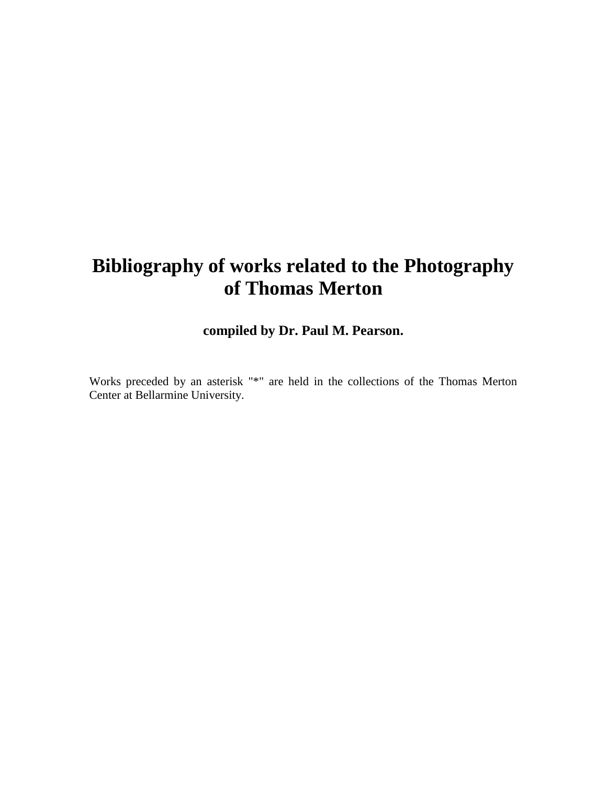# **Bibliography of works related to the Photography of Thomas Merton**

# **compiled by Dr. Paul M. Pearson.**

Works preceded by an asterisk "\*" are held in the collections of the Thomas Merton Center at Bellarmine University.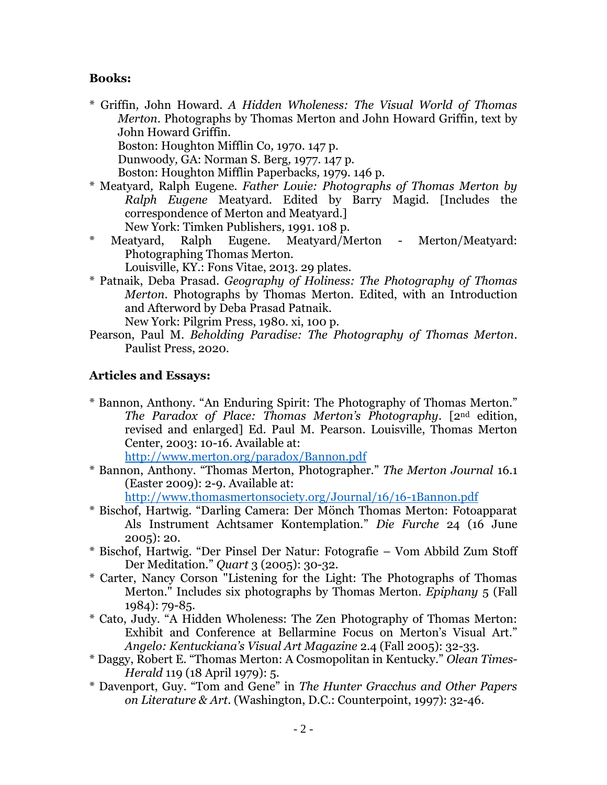#### **Books:**

\* Griffin*,* John Howard. *A Hidden Wholeness: The Visual World of Thomas Merton*. Photographs by Thomas Merton and John Howard Griffin*,* text by John Howard Griffin. Boston: Houghton Mifflin Co*,* 1970. 147 p.

Dunwoody*,* GA: Norman S. Berg*,* 1977. 147 p.

Boston: Houghton Mifflin Paperbacks*,* 1979. 146 p.

- \* Meatyard*,* Ralph Eugene. *Father Louie: Photographs of Thomas Merton by Ralph Eugene* Meatyard. Edited by Barry Magid. [Includes the correspondence of Merton and Meatyard.] New York: Timken Publishers*,* 1991. 108 p.
- Meatyard, Ralph Eugene. Meatyard/Merton Merton/Meatyard: Photographing Thomas Merton. Louisville, KY.: Fons Vitae, 2013. 29 plates.
- \* Patnaik, Deba Prasad. *Geography of Holiness: The Photography of Thomas Merton*. Photographs by Thomas Merton. Edited, with an Introduction and Afterword by Deba Prasad Patnaik.

New York: Pilgrim Press, 1980. xi, 100 p.

Pearson, Paul M. *Beholding Paradise: The Photography of Thomas Merton*. Paulist Press, 2020.

#### **Articles and Essays:**

\* Bannon, Anthony. "An Enduring Spirit: The Photography of Thomas Merton." *The Paradox of Place: Thomas Merton's Photography*. [2nd edition, revised and enlarged] Ed. Paul M. Pearson. Louisville, Thomas Merton Center, 2003: 10-16. Available at:

<http://www.merton.org/paradox/Bannon.pdf>

\* Bannon, Anthony. "Thomas Merton, Photographer." *The Merton Journal* 16.1 (Easter 2009): 2-9. Available at:

<http://www.thomasmertonsociety.org/Journal/16/16-1Bannon.pdf>

- \* Bischof, Hartwig. "Darling Camera: Der Mönch Thomas Merton: Fotoapparat Als Instrument Achtsamer Kontemplation." *Die Furche* 24 (16 June 2005): 20.
- \* Bischof, Hartwig. "Der Pinsel Der Natur: Fotografie Vom Abbild Zum Stoff Der Meditation." *Quart* 3 (2005): 30-32.
- \* Carter, Nancy Corson "Listening for the Light: The Photographs of Thomas Merton." Includes six photographs by Thomas Merton. *Epiphany* 5 (Fall 1984): 79-85.
- \* Cato, Judy. "A Hidden Wholeness: The Zen Photography of Thomas Merton: Exhibit and Conference at Bellarmine Focus on Merton's Visual Art." *Angelo: Kentuckiana's Visual Art Magazine* 2.4 (Fall 2005): 32-33.
- \* Daggy, Robert E. "Thomas Merton: A Cosmopolitan in Kentucky." *Olean Times-Herald* 119 (18 April 1979): 5.
- \* Davenport, Guy. "Tom and Gene" in *The Hunter Gracchus and Other Papers on Literature & Art*. (Washington, D.C.: Counterpoint, 1997): 32-46.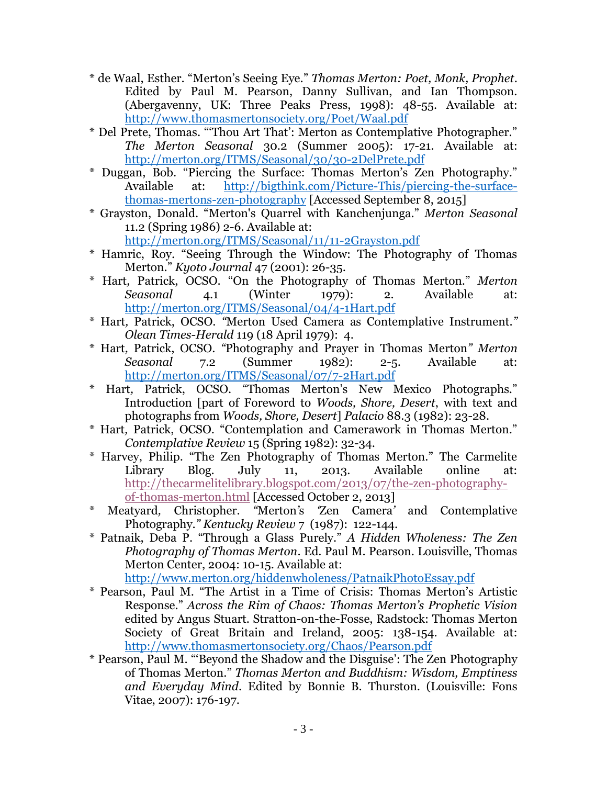- \* de Waal, Esther. "Merton's Seeing Eye." *Thomas Merton: Poet, Monk, Prophet*. Edited by Paul M. Pearson, Danny Sullivan, and Ian Thompson. (Abergavenny, UK: Three Peaks Press, 1998): 48-55. Available at: <http://www.thomasmertonsociety.org/Poet/Waal.pdf>
- \* Del Prete, Thomas. "'Thou Art That': Merton as Contemplative Photographer." *The Merton Seasonal* 30.2 (Summer 2005): 17-21. Available at: <http://merton.org/ITMS/Seasonal/30/30-2DelPrete.pdf>
- \* Duggan, Bob. "Piercing the Surface: Thomas Merton's Zen Photography." Available at: [http://bigthink.com/Picture-This/piercing-the-surface](http://bigthink.com/Picture-This/piercing-the-surface-thomas-mertons-zen-photography)[thomas-mertons-zen-photography](http://bigthink.com/Picture-This/piercing-the-surface-thomas-mertons-zen-photography) [Accessed September 8, 2015]
- \* Grayston, Donald. "Merton's Quarrel with Kanchenjunga." *Merton Seasonal* 11.2 (Spring 1986) 2-6. Available at:
	- <http://merton.org/ITMS/Seasonal/11/11-2Grayston.pdf>
- \* Hamric, Roy. "Seeing Through the Window: The Photography of Thomas Merton." *Kyoto Journal* 47 (2001): 26-35.
- \* Hart*,* Patrick, OCSO. "On the Photography of Thomas Merton." *Merton Seasonal* 4.1 (Winter 1979): 2. Available at: <http://merton.org/ITMS/Seasonal/04/4-1Hart.pdf>
- \* Hart*,* Patrick, OCSO. *"*Merton Used Camera as Contemplative Instrument.*" Olean Times-Herald* 119 (18 April 1979): 4.
- \* Hart*,* Patrick, OCSO. *"*Photography and Prayer in Thomas Merton*" Merton Seasonal* 7.2 (Summer 1982): 2-5. Available at: <http://merton.org/ITMS/Seasonal/07/7-2Hart.pdf>
- \* Hart*,* Patrick, OCSO. "Thomas Merton's New Mexico Photographs." Introduction [part of Foreword to *Woods, Shore, Desert*, with text and photographs from *Woods, Shore, Desert*] *Palacio* 88.3 (1982): 23-28.
- \* Hart*,* Patrick, OCSO. "Contemplation and Camerawork in Thomas Merton." *Contemplative Review* 15 (Spring 1982): 32-34.
- \* Harvey, Philip. "The Zen Photography of Thomas Merton." The Carmelite Library Blog. July 11, 2013. Available online at: [http://thecarmelitelibrary.blogspot.com/2013/07/the-zen-photography](http://thecarmelitelibrary.blogspot.com/2013/07/the-zen-photography-of-thomas-merton.html)[of-thomas-merton.html](http://thecarmelitelibrary.blogspot.com/2013/07/the-zen-photography-of-thomas-merton.html) [Accessed October 2, 2013]
- \* Meatyard*,* Christopher. *"*Merton*'*s *'*Zen Camera*'* and Contemplative Photography.*" Kentucky Review* 7 (1987): 122-144.
- \* Patnaik, Deba P. "Through a Glass Purely." *A Hidden Wholeness: The Zen Photography of Thomas Merton*. Ed. Paul M. Pearson. Louisville, Thomas Merton Center, 2004: 10-15. Available at: <http://www.merton.org/hiddenwholeness/PatnaikPhotoEssay.pdf>
- \* Pearson, Paul M. "The Artist in a Time of Crisis: Thomas Merton's Artistic Response." *Across the Rim of Chaos: Thomas Merton's Prophetic Vision* edited by Angus Stuart. Stratton-on-the-Fosse, Radstock: Thomas Merton Society of Great Britain and Ireland, 2005: 138-154. Available at: <http://www.thomasmertonsociety.org/Chaos/Pearson.pdf>
- \* Pearson, Paul M. "'Beyond the Shadow and the Disguise': The Zen Photography of Thomas Merton." *Thomas Merton and Buddhism: Wisdom, Emptiness and Everyday Mind*. Edited by Bonnie B. Thurston. (Louisville: Fons Vitae, 2007): 176-197.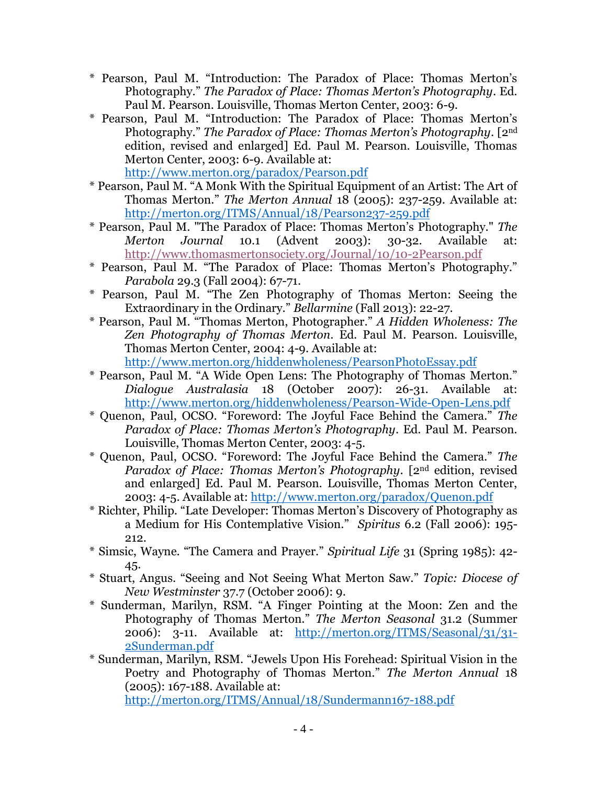- \* Pearson, Paul M. "Introduction: The Paradox of Place: Thomas Merton's Photography." *The Paradox of Place: Thomas Merton's Photography*. Ed. Paul M. Pearson. Louisville, Thomas Merton Center, 2003: 6-9.
- \* Pearson, Paul M. "Introduction: The Paradox of Place: Thomas Merton's Photography." *The Paradox of Place: Thomas Merton's Photography*. [2nd edition, revised and enlarged] Ed. Paul M. Pearson. Louisville, Thomas Merton Center, 2003: 6-9. Available at: <http://www.merton.org/paradox/Pearson.pdf>
- \* Pearson, Paul M. "A Monk With the Spiritual Equipment of an Artist: The Art of Thomas Merton." *The Merton Annual* 18 (2005): 237-259. Available at: <http://merton.org/ITMS/Annual/18/Pearson237-259.pdf>
- \* Pearson, Paul M. "The Paradox of Place: Thomas Merton's Photography." *The Merton Journal* 10.1 (Advent 2003): 30-32. Available at: <http://www.thomasmertonsociety.org/Journal/10/10-2Pearson.pdf>
- \* Pearson, Paul M. "The Paradox of Place: Thomas Merton's Photography." *Parabola* 29.3 (Fall 2004): 67-71.
- \* Pearson, Paul M. "The Zen Photography of Thomas Merton: Seeing the Extraordinary in the Ordinary." *Bellarmine* (Fall 2013): 22-27.
- \* Pearson, Paul M. "Thomas Merton, Photographer." *A Hidden Wholeness: The Zen Photography of Thomas Merton*. Ed. Paul M. Pearson. Louisville, Thomas Merton Center, 2004: 4-9. Available at: <http://www.merton.org/hiddenwholeness/PearsonPhotoEssay.pdf>
- \* Pearson, Paul M. "A Wide Open Lens: The Photography of Thomas Merton." *Dialogue Australasia* 18 (October 2007): 26-31. Available at:
	- <http://www.merton.org/hiddenwholeness/Pearson-Wide-Open-Lens.pdf>
- \* Quenon, Paul, OCSO. "Foreword: The Joyful Face Behind the Camera." *The Paradox of Place: Thomas Merton's Photography*. Ed. Paul M. Pearson. Louisville, Thomas Merton Center, 2003: 4-5.
- \* Quenon, Paul, OCSO. "Foreword: The Joyful Face Behind the Camera." *The Paradox of Place: Thomas Merton's Photography*. [2nd edition, revised and enlarged] Ed. Paul M. Pearson. Louisville, Thomas Merton Center, 2003: 4-5. Available at:<http://www.merton.org/paradox/Quenon.pdf>
- \* Richter, Philip. "Late Developer: Thomas Merton's Discovery of Photography as a Medium for His Contemplative Vision." *Spiritus* 6.2 (Fall 2006): 195- 212.
- \* Simsic, Wayne. "The Camera and Prayer." *Spiritual Life* 31 (Spring 1985): 42- 45.
- \* Stuart, Angus. "Seeing and Not Seeing What Merton Saw." *Topic: Diocese of New Westminster* 37.7 (October 2006): 9.
- \* Sunderman, Marilyn, RSM. "A Finger Pointing at the Moon: Zen and the Photography of Thomas Merton." *The Merton Seasonal* 31.2 (Summer 2006): 3-11. Available at: [http://merton.org/ITMS/Seasonal/31/31-](http://merton.org/ITMS/Seasonal/31/31-2Sunderman.pdf) [2Sunderman.pdf](http://merton.org/ITMS/Seasonal/31/31-2Sunderman.pdf)
- \* Sunderman, Marilyn, RSM. "Jewels Upon His Forehead: Spiritual Vision in the Poetry and Photography of Thomas Merton." *The Merton Annual* 18 (2005): 167-188. Available at: <http://merton.org/ITMS/Annual/18/Sundermann167-188.pdf>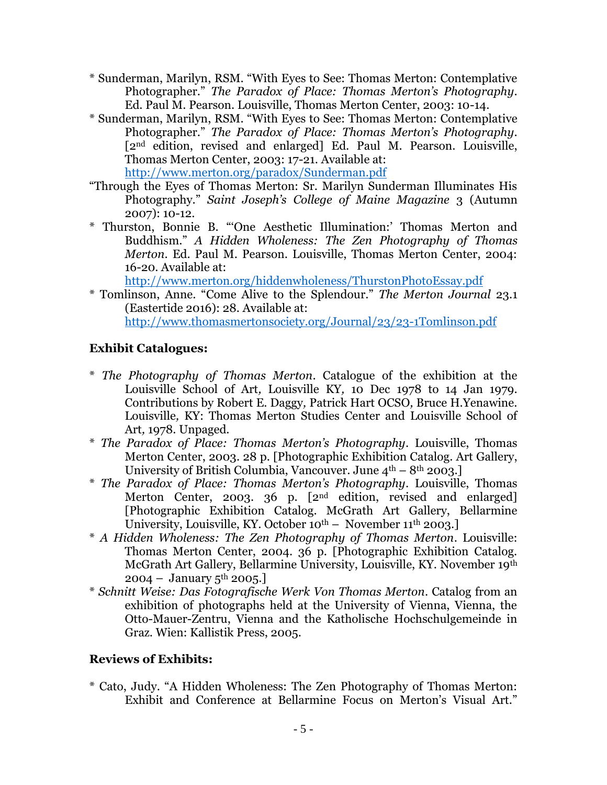- \* Sunderman, Marilyn, RSM. "With Eyes to See: Thomas Merton: Contemplative Photographer." *The Paradox of Place: Thomas Merton's Photography*. Ed. Paul M. Pearson. Louisville, Thomas Merton Center, 2003: 10-14.
- \* Sunderman, Marilyn, RSM. "With Eyes to See: Thomas Merton: Contemplative Photographer." *The Paradox of Place: Thomas Merton's Photography*. [2<sup>nd</sup> edition, revised and enlarged] Ed. Paul M. Pearson. Louisville, Thomas Merton Center, 2003: 17-21. Available at: <http://www.merton.org/paradox/Sunderman.pdf>
- "Through the Eyes of Thomas Merton: Sr. Marilyn Sunderman Illuminates His Photography." *Saint Joseph's College of Maine Magazine* 3 (Autumn 2007): 10-12.
- \* Thurston, Bonnie B. "'One Aesthetic Illumination:' Thomas Merton and Buddhism." *A Hidden Wholeness: The Zen Photography of Thomas Merton*. Ed. Paul M. Pearson. Louisville, Thomas Merton Center, 2004: 16-20. Available at:

<http://www.merton.org/hiddenwholeness/ThurstonPhotoEssay.pdf>

\* Tomlinson, Anne. "Come Alive to the Splendour." *The Merton Journal* 23.1 (Eastertide 2016): 28. Available at: <http://www.thomasmertonsociety.org/Journal/23/23-1Tomlinson.pdf>

# **Exhibit Catalogues:**

- \* *The Photography of Thomas Merton*. Catalogue of the exhibition at the Louisville School of Art*,* Louisville KY*,* 10 Dec 1978 to 14 Jan 1979. Contributions by Robert E. Daggy*,* Patrick Hart OCSO*,* Bruce H.Yenawine. Louisville*,* KY: Thomas Merton Studies Center and Louisville School of Art*,* 1978. Unpaged.
- \* *The Paradox of Place: Thomas Merton's Photography*. Louisville, Thomas Merton Center, 2003. 28 p. [Photographic Exhibition Catalog. Art Gallery, University of British Columbia, Vancouver. June  $4<sup>th</sup> - 8<sup>th</sup>$  2003.]
- \* *The Paradox of Place: Thomas Merton's Photography*. Louisville, Thomas Merton Center, 2003. 36 p. [2<sup>nd</sup> edition, revised and enlarged] [Photographic Exhibition Catalog. McGrath Art Gallery, Bellarmine University, Louisville, KY. October  $10^{th}$  – November  $11^{th}$  2003.
- \* *A Hidden Wholeness: The Zen Photography of Thomas Merton*. Louisville: Thomas Merton Center, 2004. 36 p. [Photographic Exhibition Catalog. McGrath Art Gallery, Bellarmine University, Louisville, KY. November 19th  $2004 -$  January 5<sup>th</sup> 2005.
- \* *Schnitt Weise: Das Fotografische Werk Von Thomas Merton*. Catalog from an exhibition of photographs held at the University of Vienna, Vienna, the Otto-Mauer-Zentru, Vienna and the Katholische Hochschulgemeinde in Graz. Wien: Kallistik Press, 2005.

# **Reviews of Exhibits:**

\* Cato, Judy. "A Hidden Wholeness: The Zen Photography of Thomas Merton: Exhibit and Conference at Bellarmine Focus on Merton's Visual Art."